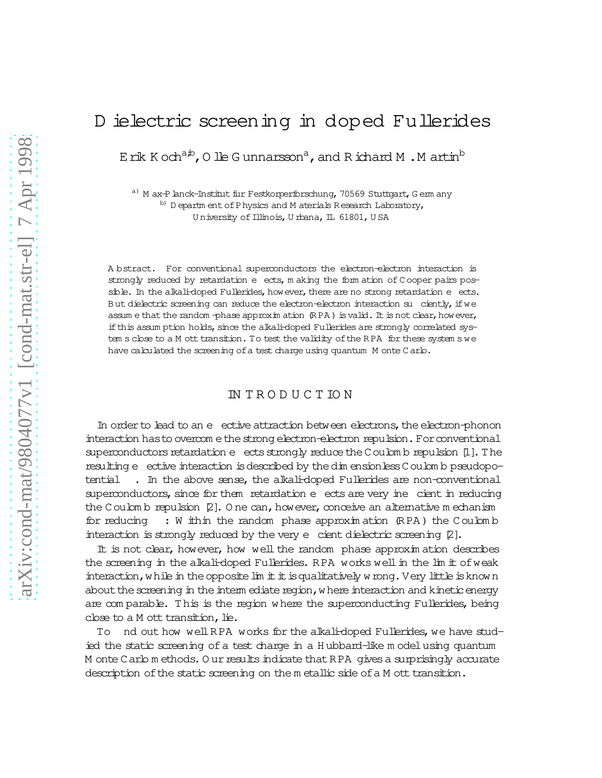# D ielectric screening in doped Fullerides

E rik K och<sup>a,b</sup>, O lle G unnarsson<sup>a</sup>, and R ichard M . M artin<sup>b</sup>

a) M ax-P lanck-Institut fur Festkorperforschung, 70569 Stuttgart, G em any b) D epartm ent of P hysics and M aterials R esearch Laboratory, University of Illinois, Urbana, IL 61801, USA

A bstract. For conventional superconductors the electron-electron interaction is strongly reduced by retardation e ects, making the form ation of Cooper pairs possible. In the alkali-doped Fullerides, how ever, there are no strong retardation e ects. But dielectric screening can reduce the electron-electron interaction su ciently, if we assum e that the random -phase approximation  $(RPA)$  is valid. It is not clear, how ever, if this assumption holds, since the alkali-doped Fullerides are strongly correlated system s close to a M ott transition. To test the validity of the RPA for these system s we have calculated the screening of a test charge using quantum M onte C arlo.

## **INTRODUCTION**

In order to lead to an e ective attraction between electrons, the electron-phonon interaction has to overcome the strong electron-electron repulsion. For conventional superconductors retardation e ects strongly reduce the Coulomb repulsion [1]. The resulting e ective interaction is described by the dim ensionless C oulom b pseudopo-. In the above sense, the alkali-doped Fullerides are non-conventional tential superconductors, since for them retardation e ects are very ine cient in reducing the Coulomb repulsion [2]. One can, however, conceive an alternative mechanism for reducing : W ithin the random phase approximation (RPA) the Coulomb interaction is strongly reduced by the very e cient dielectric screening [2].

It is not clear, however, how well the random phase approximation describes the screening in the alkali-doped Fullerides. RPA works well in the lim it of weak interaction, while in the opposite lim it it is qualitatively wrong. Very little is known about the screening in the interm ediate region, where interaction and kinetic energy are comparable. This is the region where the superconducting Fullerides, being close to a M ott transition, lie.

nd out how well RPA works for the alkali-doped Fullerides, we have stud-To ied the static screening of a test charge in a Hubbard-like model using quantum M onte C arlo m ethods. O ur results indicate that RPA gives a surprisingly accurate description of the static screening on the metallic side of a M ott transition.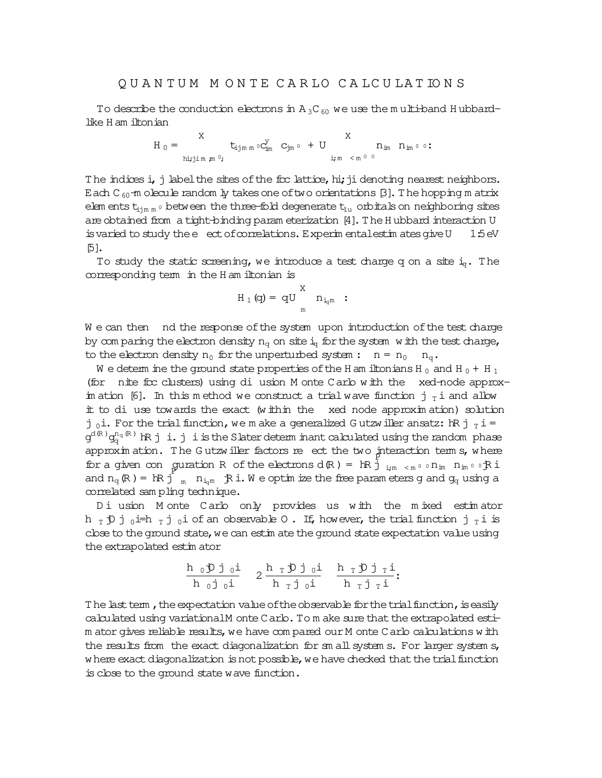To describe the conduction electrons in  $A_3C_{60}$  we use the m ulti-band H ubbardlike H am iltonian

$$
H_0=\begin{matrix}X&\text{ }\qquad X\\ \text{ }\qquad t_{\text{ij}\text{m}\text{ m}}\circ C_{\text{im}}^Y&C_{\text{jm}}\circ\text{ }+U\text{ \qquad }\\ \text{ }n_{\text{im}\text{ min}}\text{ \qquad }n_0,&\text{ }i_{\text{im}}<\text{m}\circ\text{ }0\text{ \qquad }\\ \text{ }i_{\text{min}}<\text{m}\circ\text{ }0\text{ \qquad }\\ \end{matrix}.
$$

The indices i, j label the sites of the ficc lattice, hi; ji denoting nearest neighbors. Each C<sub>60</sub>-m olecule random ly takes one of two orientations [3]. The hopping m atrix elem ents  $t_{\text{sim m}}$  0 between the three-fold degenerate  $t_{\text{1u}}$  orbitals on neighboring sites are obtained from a tight-binding param eterization [4]. The H ubbard interaction U is varied to study the  $e$  ect of correlations. Experim entalest in ates give U 1:5eV [5].

To study the static screening, we introduce a test charge q on a site  $i<sub>g</sub>$ . The corresponding term in the H am iltonian is

$$
H_1(q)=\, qU\, \underset{m}{\overset{X}{\quad \quad }n_{i_{q^m}}\,} \, : \,
$$

We can then ind the response of the system upon introduction of the test charge by com paring the electron density  $n_q$  on site  $i_q$  for the system with the test charge, to the electron density  $n_0$  for the unperturbed system :  $n = n_0$   $n_q$ .

W e determ ine the ground state properties of the H am iltonians H<sub>0</sub> and H<sub>0</sub> + H<sub>1</sub> (for  nite fcc clusters) using di usion M onte Carlo with the  xed-node approxim ation [6]. In this m ethod we construct a trial wave function j  $_T$  i and allow it to di use towards the exact (within the  xed node approxim ation) solution j 0i. For the trial function, we m ake a generalized G utzwiller ansatz:  $\hbar$   $R$  j  $_T$  i =  $\frak g^{\rm d(R)}$ g $_{{\bf q}}^{{\rm n}_{{\bf q}}$ (R) IR j i.j isthe Slaterdeterm inant calculated using the random phase  $approx$  in ation. The Gutzwiller factors re ect the two  $\frac{1}{p}$  theraction term s, where for a given con guration R of the electrons  $d(R) = RR \frac{1}{J}$   $_{i,m \to \infty} \circ n_{im}$   $n_{im} \circ \circ R i$ and  $n_q(R) = IR \dot{j}$   $_m$   $n_{i_qm}$   $R \dot{i}$ . We optimize the free parameters g and  $g_q$  using a correlated sam pling technique.

Di usion M onte Carlo only provides us with the mixed estimator h  $_T$   $\uparrow$  j  $_0$  i=h  $_T$  j  $_0$  i of an observable O. If, however, the trial function j  $_T$  i is close to the ground state, we can estim ate the ground state expectation value using the extrapolated estim ator

$$
\frac{h_0 \mathfrak{D} j_0 i}{h_0 j_0 i} \quad 2 \frac{h_T \mathfrak{D} j_0 i}{h_T j_0 i} \quad \frac{h_T \mathfrak{D} j_T i}{h_T j_T i}.
$$

The last term, the expectation value of the observable for the trial function, is easily calculated using variationalM onte Carlo. To m ake sure that the extrapolated estim ator gives reliable results, we have compared our M onte Carlo calculations with the results from the exact diagonalization for sm all system s. For larger system s, where exact diagonalization is not possible, we have checked that the trial function isclose to the ground state wave function.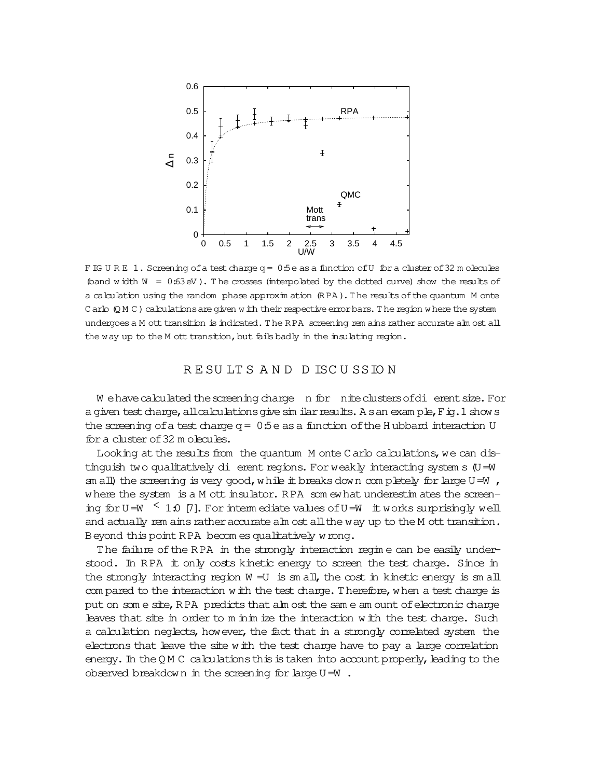

F IG U R E 1. Screening of a test charge q = 0:5e as a function of U for a cluster of 32 m olecules (band w idth  $W = 0:63$  eV). The crosses (interpolated by the dotted curve) show the results of a calculation using the random phase approxim ation (RPA). The results of the quantum M onte  $C$  arlo  $(Q$  M  $C$  ) calculations are given w ith their respective error bars. The region w here the system undergoes a M ott transition is indicated. The RPA screening rem ains rather accurate alm ost all the way up to the M ott transition, but fails badly in the insulating region.

## R E SU LT S A N D D ISC U SSIO N

W ehave calculated the screening charge n for nite clusters of di erent size. For a given test charge, all calculations give similar results. A san exam ple,  $F$  ig. 1 shows the screening of a test charge  $q= 0.5e$  as a function of the H ubbard interaction U fora cluster of32 m olecules.

Looking at the results from the quantum M onte Carlo calculations, we can distinguish two qualitatively di erent regions. Forweakly interacting system s (U=W sm all) the screening is very good, while it breaks down completely for large U=W , where the system is a M ott insulator. R PA som ewhat underestim ates the screening for U=W  $\leq$  1.0 [7]. For interm ediate values of U=W it works surprisingly well and actually rem ains rather accurate alm ost all the way up to the M ott transition. Beyond this point RPA becom es qualitatively wrong.

The failure of the RPA in the strongly interaction regim e can be easily understood. In RPA it only costs kinetic energy to screen the test charge. Since in the strongly interacting region  $W = U$  is sm all, the cost in kinetic energy is sm all com pared to the interaction with the test charge. Therefore, when a test charge is put on som e site, RPA predicts that alm ost the same am ount of electronic charge leaves that site in order to m in in ize the interaction with the test charge. Such a calculation neglects, however, the fact that in a strongly correlated system the electrons that leave the site with the test charge have to pay a large correlation energy. In the QM C calculations this is taken into account properly, leading to the observed breakdown in the screening for large  $U=W$ .